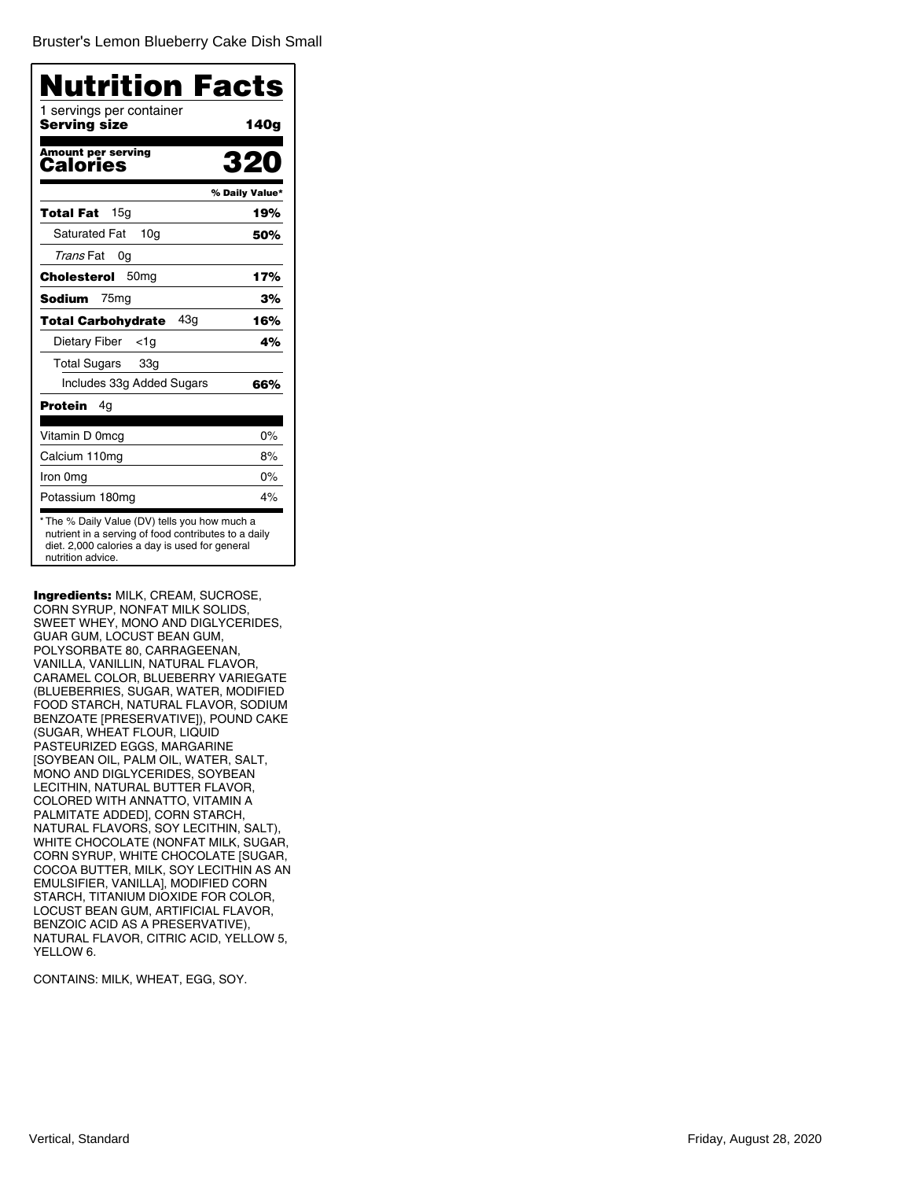Bruster's Lemon Blueberry Cake Dish Small

| Nutrition Facts<br>1 servings per container |                |
|---------------------------------------------|----------------|
| Serving size                                | 140g           |
| <b>Amount per serving</b><br>Calories       | 320            |
|                                             | % Daily Value* |
| 15 <sub>q</sub><br>Total Fat                | 19%            |
| <b>Saturated Fat</b><br>10 <sub>q</sub>     | 50%            |
| <i>Trans</i> Fat<br>0g                      |                |
| 50 <sub>mg</sub><br>Cholesterol             | 17%            |
| Sodium<br>75 <sub>mg</sub>                  | 3%             |
| 43 <sub>q</sub><br>Total Carbohydrate       | 16%            |
| Dietary Fiber<br>$<$ 1g                     | 4%             |
| <b>Total Sugars</b><br>33g                  |                |
| Includes 33g Added Sugars                   | 66%            |
| Protein<br>4g                               |                |
| Vitamin D 0mcg                              | $0\%$          |
| Calcium 110mg                               | 8%             |
| Iron 0mg                                    | $0\%$          |
| Potassium 180mg                             | 4%             |

Ingredients: MILK, CREAM, SUCROSE, CORN SYRUP, NONFAT MILK SOLIDS, SWEET WHEY, MONO AND DIGLYCERIDES, GUAR GUM, LOCUST BEAN GUM, POLYSORBATE 80, CARRAGEENAN, VANILLA, VANILLIN, NATURAL FLAVOR, CARAMEL COLOR, BLUEBERRY VARIEGATE (BLUEBERRIES, SUGAR, WATER, MODIFIED FOOD STARCH, NATURAL FLAVOR, SODIUM BENZOATE [PRESERVATIVE]), POUND CAKE (SUGAR, WHEAT FLOUR, LIQUID PASTEURIZED EGGS, MARGARINE [SOYBEAN OIL, PALM OIL, WATER, SALT, MONO AND DIGLYCERIDES, SOYBEAN LECITHIN, NATURAL BUTTER FLAVOR, COLORED WITH ANNATTO, VITAMIN A PALMITATE ADDED], CORN STARCH, NATURAL FLAVORS, SOY LECITHIN, SALT), WHITE CHOCOLATE (NONFAT MILK, SUGAR, CORN SYRUP, WHITE CHOCOLATE [SUGAR, COCOA BUTTER, MILK, SOY LECITHIN AS AN EMULSIFIER, VANILLA], MODIFIED CORN STARCH, TITANIUM DIOXIDE FOR COLOR, LOCUST BEAN GUM, ARTIFICIAL FLAVOR, BENZOIC ACID AS A PRESERVATIVE), NATURAL FLAVOR, CITRIC ACID, YELLOW 5, YELLOW 6.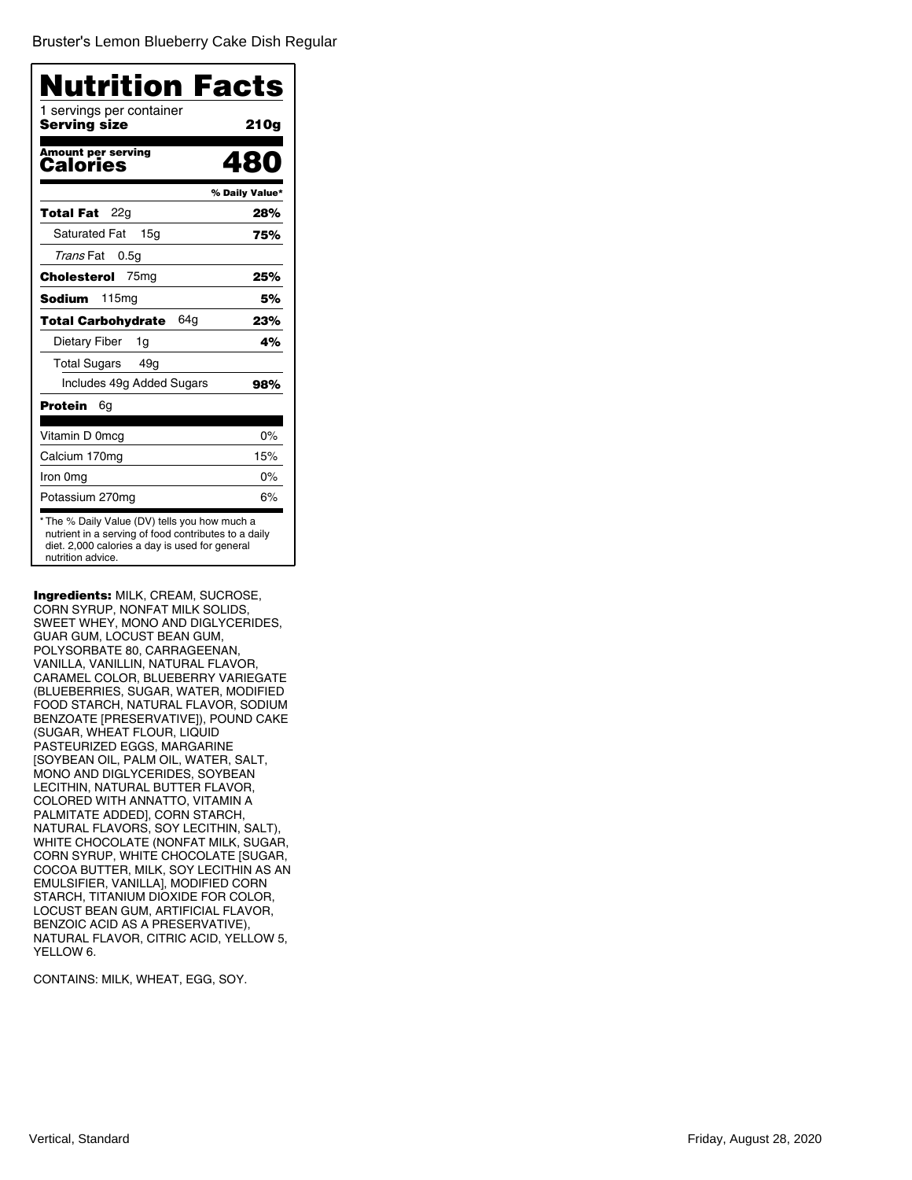Bruster's Lemon Blueberry Cake Dish Regular

| Nutrition Facts<br>1 servings per container |                |
|---------------------------------------------|----------------|
| Serving size                                | 210g           |
| <b>Amount per serving</b><br>Calories       | .RN            |
|                                             | % Daily Value* |
| 22g<br>Total Fat                            | 28%            |
| <b>Saturated Fat</b><br>15 <sub>q</sub>     | 75%            |
| <i>Trans</i> Fat<br>0.5 <sub>q</sub>        |                |
| 75 <sub>mg</sub><br>Cholesterol             | 25%            |
| 115 <sub>mg</sub><br>Sodium                 | 5%             |
| 64a<br>Total Carbohydrate                   | 23%            |
| Dietary Fiber<br>1g                         | 4%             |
| <b>Total Sugars</b><br>49 <sub>g</sub>      |                |
| Includes 49g Added Sugars                   | 98%            |
| Protein<br>6g                               |                |
| Vitamin D 0mcg                              | 0%             |
| Calcium 170mg                               | 15%            |
| Iron 0mg                                    | $0\%$          |
| Potassium 270mg                             | 6%             |

Ingredients: MILK, CREAM, SUCROSE, CORN SYRUP, NONFAT MILK SOLIDS, SWEET WHEY, MONO AND DIGLYCERIDES, GUAR GUM, LOCUST BEAN GUM, POLYSORBATE 80, CARRAGEENAN, VANILLA, VANILLIN, NATURAL FLAVOR, CARAMEL COLOR, BLUEBERRY VARIEGATE (BLUEBERRIES, SUGAR, WATER, MODIFIED FOOD STARCH, NATURAL FLAVOR, SODIUM BENZOATE [PRESERVATIVE]), POUND CAKE (SUGAR, WHEAT FLOUR, LIQUID PASTEURIZED EGGS, MARGARINE [SOYBEAN OIL, PALM OIL, WATER, SALT, MONO AND DIGLYCERIDES, SOYBEAN LECITHIN, NATURAL BUTTER FLAVOR, COLORED WITH ANNATTO, VITAMIN A PALMITATE ADDED], CORN STARCH, NATURAL FLAVORS, SOY LECITHIN, SALT), WHITE CHOCOLATE (NONFAT MILK, SUGAR, CORN SYRUP, WHITE CHOCOLATE [SUGAR, COCOA BUTTER, MILK, SOY LECITHIN AS AN EMULSIFIER, VANILLA], MODIFIED CORN STARCH, TITANIUM DIOXIDE FOR COLOR, LOCUST BEAN GUM, ARTIFICIAL FLAVOR, BENZOIC ACID AS A PRESERVATIVE), NATURAL FLAVOR, CITRIC ACID, YELLOW 5, YELLOW 6.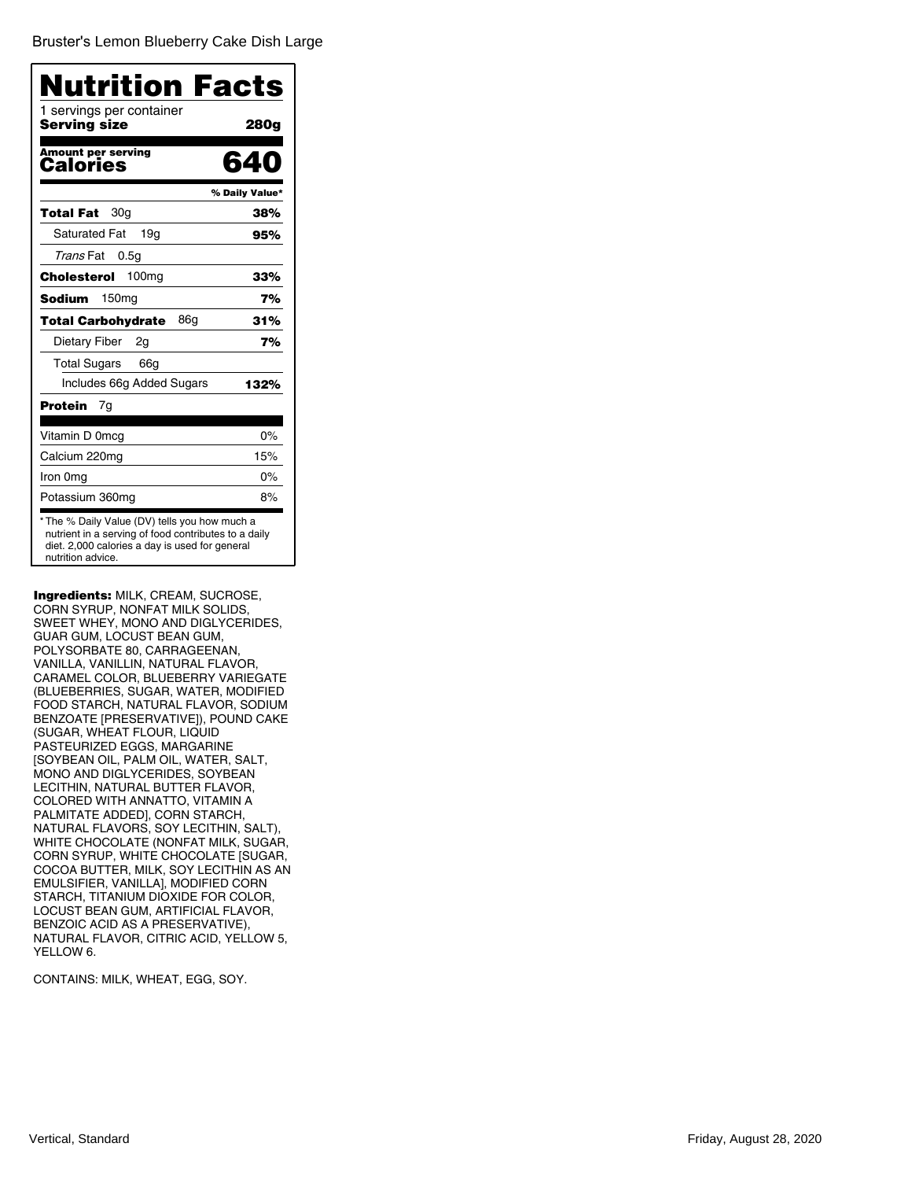| Nutrition Facts<br>1 servings per container<br>Serving size | 280g           |
|-------------------------------------------------------------|----------------|
| <b>Amount per serving</b><br>Calories                       | RД             |
|                                                             | % Daily Value* |
| 30g<br>Total Fat                                            | 38%            |
| <b>Saturated Fat</b><br>19a                                 | 95%            |
| Trans Fat<br>0.5 <sub>g</sub>                               |                |
| 100 <sub>mg</sub><br>Cholesterol                            | 33%            |
| 150 <sub>mg</sub><br>Sodium                                 | 7%             |
| 86g<br>Total Carbohydrate                                   | 31%            |
| Dietary Fiber<br>2g                                         | 7%             |
| <b>Total Sugars</b><br>66g                                  |                |
| Includes 66g Added Sugars                                   | 132%           |
| Protein<br>7g                                               |                |
| Vitamin D 0mcg                                              | 0%             |
| Calcium 220mg                                               | 15%            |
| Iron 0mg                                                    | $0\%$          |
| Potassium 360mg                                             | 8%             |

Ingredients: MILK, CREAM, SUCROSE, CORN SYRUP, NONFAT MILK SOLIDS, SWEET WHEY, MONO AND DIGLYCERIDES, GUAR GUM, LOCUST BEAN GUM, POLYSORBATE 80, CARRAGEENAN, VANILLA, VANILLIN, NATURAL FLAVOR, CARAMEL COLOR, BLUEBERRY VARIEGATE (BLUEBERRIES, SUGAR, WATER, MODIFIED FOOD STARCH, NATURAL FLAVOR, SODIUM BENZOATE [PRESERVATIVE]), POUND CAKE (SUGAR, WHEAT FLOUR, LIQUID PASTEURIZED EGGS, MARGARINE [SOYBEAN OIL, PALM OIL, WATER, SALT, MONO AND DIGLYCERIDES, SOYBEAN LECITHIN, NATURAL BUTTER FLAVOR, COLORED WITH ANNATTO, VITAMIN A PALMITATE ADDED], CORN STARCH, NATURAL FLAVORS, SOY LECITHIN, SALT), WHITE CHOCOLATE (NONFAT MILK, SUGAR, CORN SYRUP, WHITE CHOCOLATE [SUGAR, COCOA BUTTER, MILK, SOY LECITHIN AS AN EMULSIFIER, VANILLA], MODIFIED CORN STARCH, TITANIUM DIOXIDE FOR COLOR, LOCUST BEAN GUM, ARTIFICIAL FLAVOR, BENZOIC ACID AS A PRESERVATIVE), NATURAL FLAVOR, CITRIC ACID, YELLOW 5, YELLOW 6.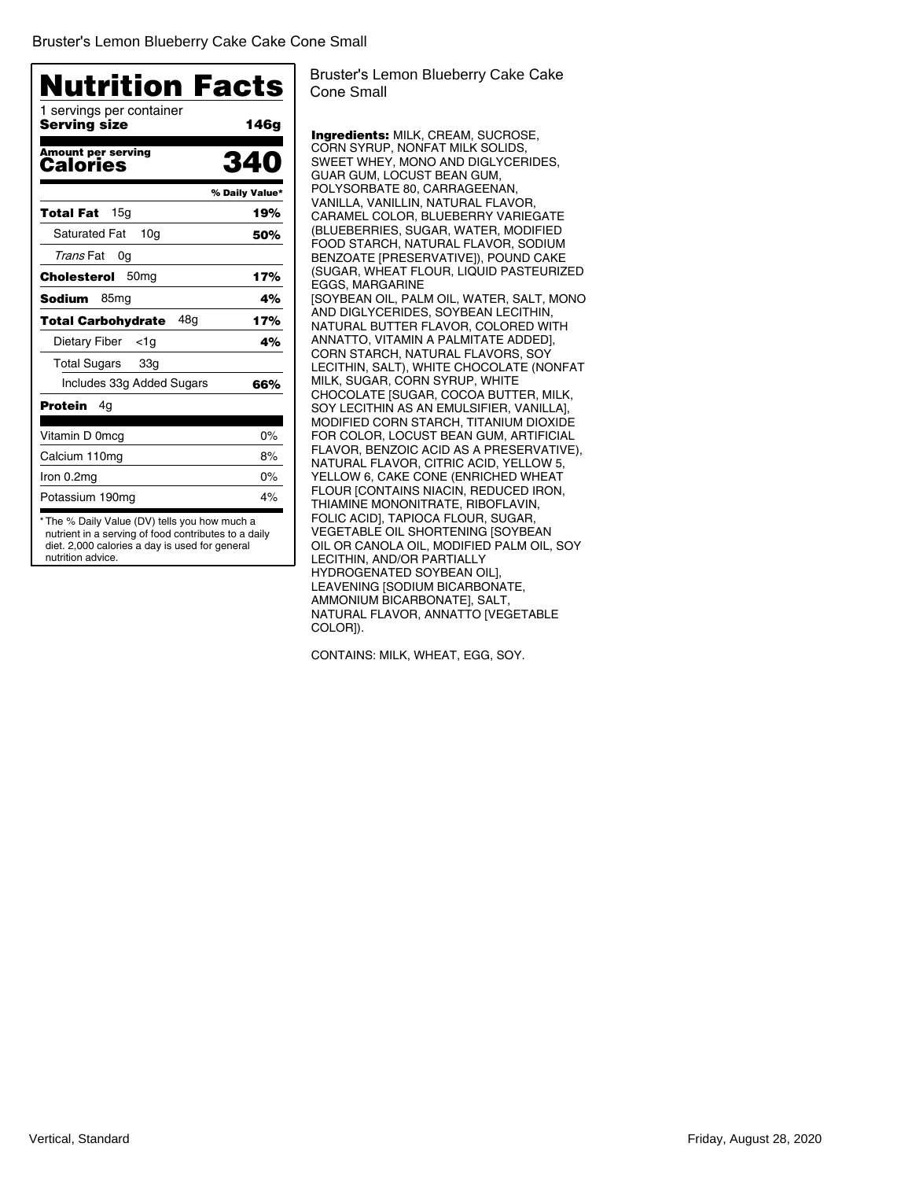| 1 servings per container<br>Servina size | 146g           |
|------------------------------------------|----------------|
|                                          |                |
| <b>Amount per serving</b><br>Calories    | 340            |
|                                          | % Daily Value* |
| 15a<br>Total Fat                         | 19%            |
| <b>Saturated Fat</b><br>10 <sub>q</sub>  | 50%            |
| Trans Fat<br>0g                          |                |
| 50 <sub>mq</sub><br>Cholesterol          | 17%            |
| Sodium<br>85 <sub>mg</sub>               | 4%             |
| 48a<br><b>Total Carbohydrate</b>         | 17%            |
| Dietary Fiber<br>$<$ 1g                  | 4%             |
| <b>Total Sugars</b><br>33g               |                |
| Includes 33g Added Sugars                | 66%            |
| Protein<br>4g                            |                |
| Vitamin D 0mcg                           | $0\%$          |
| Calcium 110mg                            | 8%             |
| Iron 0.2mg                               | $0\%$          |
| Potassium 190mg                          | 4%             |

Bruster's Lemon Blueberry Cake Cake Cone Small

Ingredients: MILK, CREAM, SUCROSE, CORN SYRUP, NONFAT MILK SOLIDS, SWEET WHEY, MONO AND DIGLYCERIDES, GUAR GUM, LOCUST BEAN GUM, POLYSORBATE 80, CARRAGEENAN, VANILLA, VANILLIN, NATURAL FLAVOR, CARAMEL COLOR, BLUEBERRY VARIEGATE (BLUEBERRIES, SUGAR, WATER, MODIFIED FOOD STARCH, NATURAL FLAVOR, SODIUM BENZOATE [PRESERVATIVE]), POUND CAKE (SUGAR, WHEAT FLOUR, LIQUID PASTEURIZED EGGS, MARGARINE [SOYBEAN OIL, PALM OIL, WATER, SALT, MONO AND DIGLYCERIDES, SOYBEAN LECITHIN, NATURAL BUTTER FLAVOR, COLORED WITH ANNATTO, VITAMIN A PALMITATE ADDED], CORN STARCH, NATURAL FLAVORS, SOY LECITHIN, SALT), WHITE CHOCOLATE (NONFAT MILK, SUGAR, CORN SYRUP, WHITE CHOCOLATE [SUGAR, COCOA BUTTER, MILK, SOY LECITHIN AS AN EMULSIFIER, VANILLA], MODIFIED CORN STARCH, TITANIUM DIOXIDE FOR COLOR, LOCUST BEAN GUM, ARTIFICIAL FLAVOR, BENZOIC ACID AS A PRESERVATIVE), NATURAL FLAVOR, CITRIC ACID, YELLOW 5, YELLOW 6, CAKE CONE (ENRICHED WHEAT FLOUR [CONTAINS NIACIN, REDUCED IRON, THIAMINE MONONITRATE, RIBOFLAVIN, FOLIC ACID], TAPIOCA FLOUR, SUGAR, VEGETABLE OIL SHORTENING [SOYBEAN OIL OR CANOLA OIL, MODIFIED PALM OIL, SOY LECITHIN, AND/OR PARTIALLY HYDROGENATED SOYBEAN OIL], LEAVENING [SODIUM BICARBONATE, AMMONIUM BICARBONATE], SALT, NATURAL FLAVOR, ANNATTO [VEGETABLE COLOR]).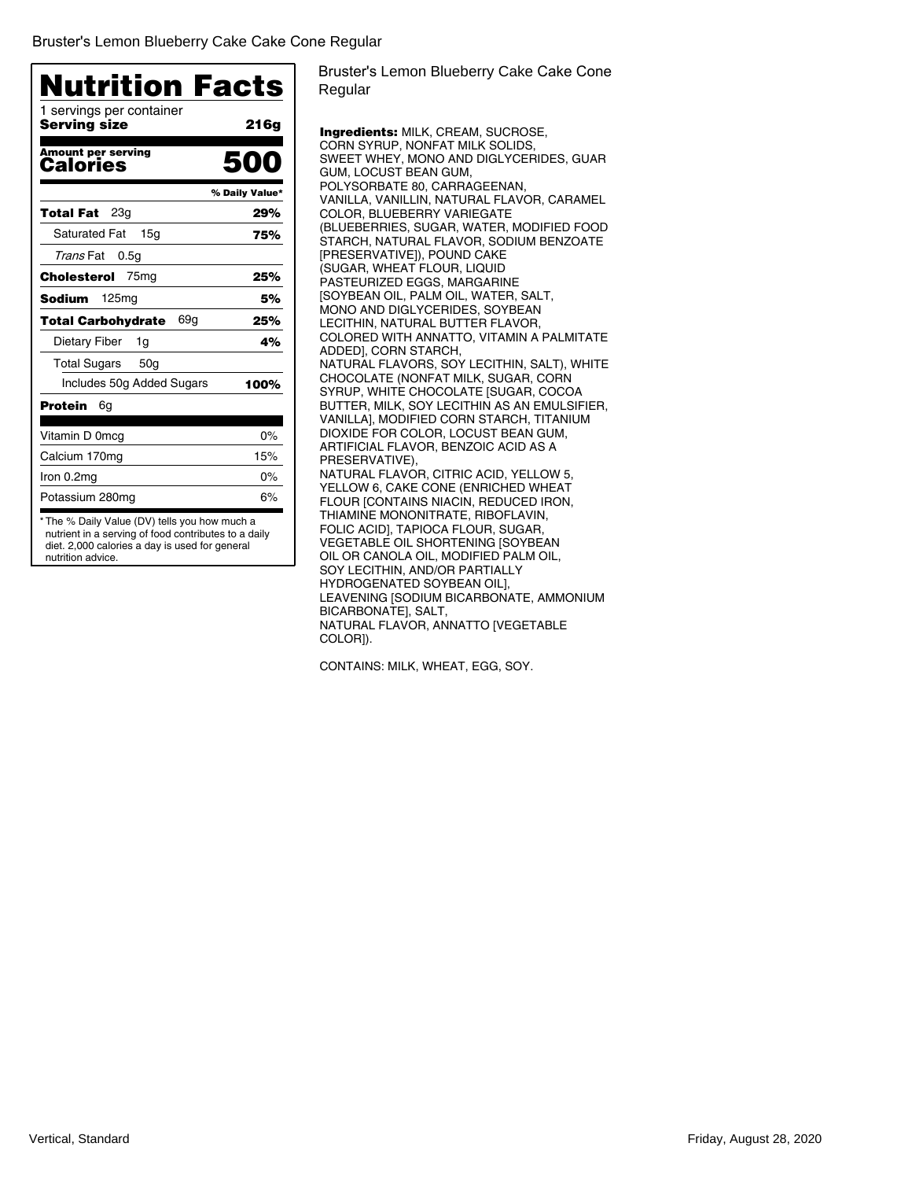| <b>Nutrition Facts</b>                   |                |
|------------------------------------------|----------------|
| 1 servings per container<br>Serving size | 216g           |
| <b>Amount per serving</b><br>Calories    | 500            |
|                                          | % Daily Value* |
| 23a<br>Total Fat                         | 29%            |
| <b>Saturated Fat</b><br>15 <sub>q</sub>  | 75%            |
| Trans Fat<br>0.5 <sub>q</sub>            |                |
| 75 <sub>mg</sub><br>Cholesterol          | 25%            |
| 125mg<br>Sodium                          | 5%             |
| 69a<br>Total Carbohydrate                | 25%            |
| Dietary Fiber<br>1g                      | 4%             |
| <b>Total Sugars</b><br>50 <sub>q</sub>   |                |
| Includes 50g Added Sugars                | 100%           |
| <b>Protein</b><br>6g                     |                |
| Vitamin D 0mcg                           | 0%             |
| Calcium 170mg                            | 15%            |
| Iron 0.2mg                               | 0%             |
| Potassium 280mg                          | 6%             |

diet. 2,000 calories a day is used for general nutrition advice.

Bruster's Lemon Blueberry Cake Cake Cone Regular

Ingredients: MILK, CREAM, SUCROSE, CORN SYRUP, NONFAT MILK SOLIDS, SWEET WHEY, MONO AND DIGLYCERIDES, GUAR GUM, LOCUST BEAN GUM, POLYSORBATE 80, CARRAGEENAN, VANILLA, VANILLIN, NATURAL FLAVOR, CARAMEL COLOR, BLUEBERRY VARIEGATE (BLUEBERRIES, SUGAR, WATER, MODIFIED FOOD STARCH, NATURAL FLAVOR, SODIUM BENZOATE [PRESERVATIVE]), POUND CAKE (SUGAR, WHEAT FLOUR, LIQUID PASTEURIZED EGGS, MARGARINE [SOYBEAN OIL, PALM OIL, WATER, SALT, MONO AND DIGLYCERIDES, SOYBEAN LECITHIN, NATURAL BUTTER FLAVOR, COLORED WITH ANNATTO, VITAMIN A PALMITATE ADDED], CORN STARCH, NATURAL FLAVORS, SOY LECITHIN, SALT), WHITE CHOCOLATE (NONFAT MILK, SUGAR, CORN SYRUP, WHITE CHOCOLATE [SUGAR, COCOA BUTTER, MILK, SOY LECITHIN AS AN EMULSIFIER, VANILLA], MODIFIED CORN STARCH, TITANIUM DIOXIDE FOR COLOR, LOCUST BEAN GUM, ARTIFICIAL FLAVOR, BENZOIC ACID AS A PRESERVATIVE), NATURAL FLAVOR, CITRIC ACID, YELLOW 5, YELLOW 6, CAKE CONE (ENRICHED WHEAT FLOUR [CONTAINS NIACIN, REDUCED IRON, THIAMINE MONONITRATE, RIBOFLAVIN, FOLIC ACID], TAPIOCA FLOUR, SUGAR, VEGETABLE OIL SHORTENING [SOYBEAN OIL OR CANOLA OIL, MODIFIED PALM OIL, SOY LECITHIN, AND/OR PARTIALLY HYDROGENATED SOYBEAN OIL], LEAVENING [SODIUM BICARBONATE, AMMONIUM BICARBONATE], SALT, NATURAL FLAVOR, ANNATTO [VEGETABLE COLOR]).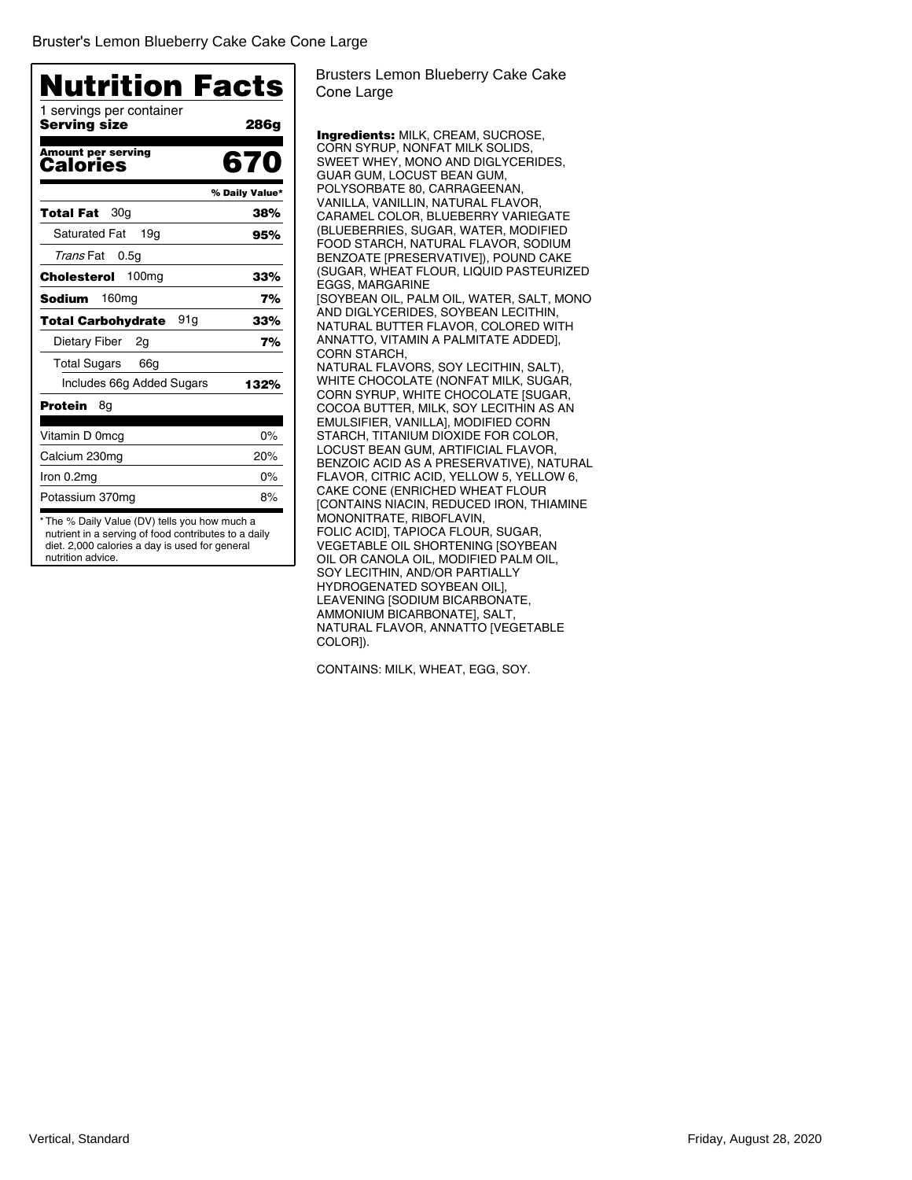| <b>Nutrition Facts</b><br>1 servings per container |                |
|----------------------------------------------------|----------------|
| Servina size                                       | 286g           |
| <b>Amount per serving</b><br>Calories              | 670            |
|                                                    | % Daily Value* |
| 30a<br>Total Fat                                   | 38%            |
| <b>Saturated Fat</b><br>19a                        | 95%            |
| Trans Fat<br>0.5q                                  |                |
| 100 <sub>mg</sub><br>Cholesterol                   | 33%            |
| 160 <sub>mg</sub><br>Sodium                        | 7%             |
| 91g<br>Total Carbohydrate                          | 33%            |
| <b>Dietary Fiber</b><br>2g                         | 7%             |
| <b>Total Sugars</b><br>66g                         |                |
| Includes 66g Added Sugars                          | 132%           |
| Protein<br>8g                                      |                |
| Vitamin D 0mcg                                     | $0\%$          |
| Calcium 230mg                                      | 20%            |
| Iron 0.2mg                                         | $0\%$          |
| Potassium 370mg                                    | 8%             |

Brusters Lemon Blueberry Cake Cake Cone Large

Ingredients: MILK, CREAM, SUCROSE, CORN SYRUP, NONFAT MILK SOLIDS, SWEET WHEY, MONO AND DIGLYCERIDES, GUAR GUM, LOCUST BEAN GUM, POLYSORBATE 80, CARRAGEENAN, VANILLA, VANILLIN, NATURAL FLAVOR, CARAMEL COLOR, BLUEBERRY VARIEGATE (BLUEBERRIES, SUGAR, WATER, MODIFIED FOOD STARCH, NATURAL FLAVOR, SODIUM BENZOATE [PRESERVATIVE]), POUND CAKE (SUGAR, WHEAT FLOUR, LIQUID PASTEURIZED EGGS, MARGARINE [SOYBEAN OIL, PALM OIL, WATER, SALT, MONO AND DIGLYCERIDES, SOYBEAN LECITHIN, NATURAL BUTTER FLAVOR, COLORED WITH ANNATTO, VITAMIN A PALMITATE ADDED], CORN STARCH, NATURAL FLAVORS, SOY LECITHIN, SALT), WHITE CHOCOLATE (NONFAT MILK, SUGAR, CORN SYRUP, WHITE CHOCOLATE [SUGAR, COCOA BUTTER, MILK, SOY LECITHIN AS AN EMULSIFIER, VANILLA], MODIFIED CORN STARCH, TITANIUM DIOXIDE FOR COLOR, LOCUST BEAN GUM, ARTIFICIAL FLAVOR, BENZOIC ACID AS A PRESERVATIVE), NATURAL FLAVOR, CITRIC ACID, YELLOW 5, YELLOW 6, CAKE CONE (ENRICHED WHEAT FLOUR [CONTAINS NIACIN, REDUCED IRON, THIAMINE MONONITRATE, RIBOFLAVIN, FOLIC ACID], TAPIOCA FLOUR, SUGAR, VEGETABLE OIL SHORTENING [SOYBEAN OIL OR CANOLA OIL, MODIFIED PALM OIL, SOY LECITHIN, AND/OR PARTIALLY HYDROGENATED SOYBEAN OIL], LEAVENING [SODIUM BICARBONATE, AMMONIUM BICARBONATE], SALT, NATURAL FLAVOR, ANNATTO [VEGETABLE COLOR]).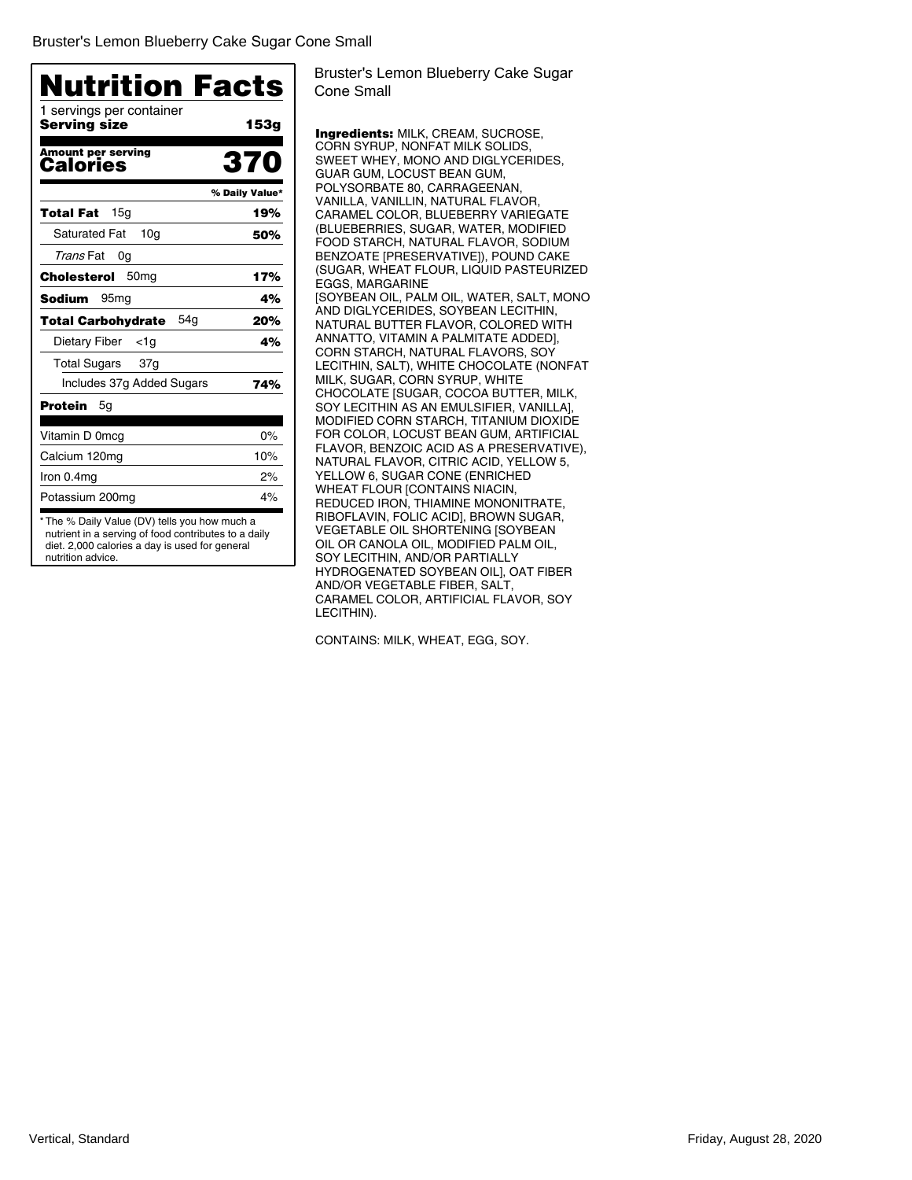| 1 servings per container                |                |
|-----------------------------------------|----------------|
| Servina size                            | 153g           |
| <b>Amount per serving</b><br>Calories   | 370            |
|                                         | % Daily Value* |
| 15a<br>Total Fat                        | 19%            |
| <b>Saturated Fat</b><br>10 <sub>q</sub> | 50%            |
| Trans Fat<br>0g                         |                |
| Cholesterol<br>50 <sub>mg</sub>         | 17%            |
| Sodium<br>95 <sub>mg</sub>              | 4%             |
| 54a<br>Total Carbohydrate               | 20%            |
| <b>Dietary Fiber</b><br><1g             | 4%             |
| <b>Total Sugars</b><br>37g              |                |
| Includes 37g Added Sugars               | 74%            |
| Protein<br>5g                           |                |
| Vitamin D 0mcg                          | 0%             |
| Calcium 120mg                           | 10%            |
| Iron 0.4mg                              | 2%             |
| Potassium 200mg                         | 4%             |

Bruster's Lemon Blueberry Cake Sugar Cone Small

Ingredients: MILK, CREAM, SUCROSE, CORN SYRUP, NONFAT MILK SOLIDS, SWEET WHEY, MONO AND DIGLYCERIDES, GUAR GUM, LOCUST BEAN GUM, POLYSORBATE 80, CARRAGEENAN, VANILLA, VANILLIN, NATURAL FLAVOR, CARAMEL COLOR, BLUEBERRY VARIEGATE (BLUEBERRIES, SUGAR, WATER, MODIFIED FOOD STARCH, NATURAL FLAVOR, SODIUM BENZOATE [PRESERVATIVE]), POUND CAKE (SUGAR, WHEAT FLOUR, LIQUID PASTEURIZED EGGS, MARGARINE [SOYBEAN OIL, PALM OIL, WATER, SALT, MONO AND DIGLYCERIDES, SOYBEAN LECITHIN, NATURAL BUTTER FLAVOR, COLORED WITH ANNATTO, VITAMIN A PALMITATE ADDED], CORN STARCH, NATURAL FLAVORS, SOY LECITHIN, SALT), WHITE CHOCOLATE (NONFAT MILK, SUGAR, CORN SYRUP, WHITE CHOCOLATE [SUGAR, COCOA BUTTER, MILK, SOY LECITHIN AS AN EMULSIFIER, VANILLA], MODIFIED CORN STARCH, TITANIUM DIOXIDE FOR COLOR, LOCUST BEAN GUM, ARTIFICIAL FLAVOR, BENZOIC ACID AS A PRESERVATIVE), NATURAL FLAVOR, CITRIC ACID, YELLOW 5, YELLOW 6, SUGAR CONE (ENRICHED WHEAT FLOUR [CONTAINS NIACIN, REDUCED IRON, THIAMINE MONONITRATE, RIBOFLAVIN, FOLIC ACID], BROWN SUGAR, VEGETABLE OIL SHORTENING [SOYBEAN OIL OR CANOLA OIL, MODIFIED PALM OIL, SOY LECITHIN, AND/OR PARTIALLY HYDROGENATED SOYBEAN OIL], OAT FIBER AND/OR VEGETABLE FIBER, SALT, CARAMEL COLOR, ARTIFICIAL FLAVOR, SOY LECITHIN).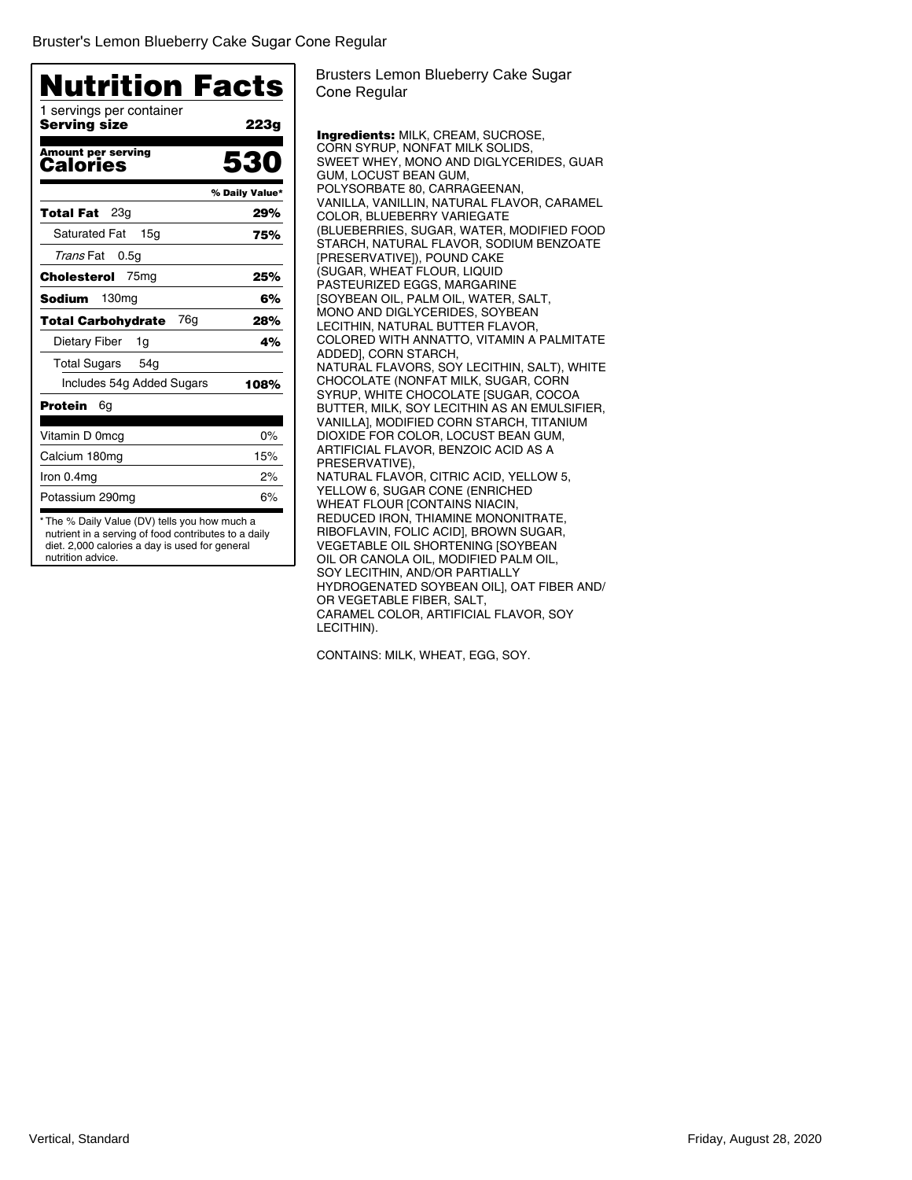| <b>Nutrition Facts</b>                       |                |
|----------------------------------------------|----------------|
| 1 servings per container<br>Servina size     | 223g           |
| <b>Amount per serving</b><br><b>Calories</b> | 530            |
|                                              | % Daily Value* |
| 23a<br>Total Fat                             | 29%            |
| <b>Saturated Fat</b><br>15 <sub>q</sub>      | 75%            |
| Trans Fat<br>0.5g                            |                |
| Cholesterol<br>75 <sub>mg</sub>              | 25%            |
| Sodium<br>130 <sub>mg</sub>                  | 6%             |
| 76a<br><b>Total Carbohydrate</b>             | 28%            |
| Dietary Fiber<br>1g                          | 4%             |
| <b>Total Sugars</b><br>54g                   |                |
| Includes 54g Added Sugars                    | 108%           |
| Protein<br>6g                                |                |
| Vitamin D 0mcg                               | $0\%$          |
| Calcium 180mg                                | 15%            |
| Iron 0.4mg                                   | 2%             |
| Potassium 290mg                              | 6%             |

diet. 2,000 calories a day is used for general nutrition advice.

Brusters Lemon Blueberry Cake Sugar Cone Regular

Ingredients: MILK, CREAM, SUCROSE, CORN SYRUP, NONFAT MILK SOLIDS, SWEET WHEY, MONO AND DIGLYCERIDES, GUAR GUM, LOCUST BEAN GUM, POLYSORBATE 80, CARRAGEENAN, VANILLA, VANILLIN, NATURAL FLAVOR, CARAMEL COLOR, BLUEBERRY VARIEGATE (BLUEBERRIES, SUGAR, WATER, MODIFIED FOOD STARCH, NATURAL FLAVOR, SODIUM BENZOATE [PRESERVATIVE]), POUND CAKE (SUGAR, WHEAT FLOUR, LIQUID PASTEURIZED EGGS, MARGARINE [SOYBEAN OIL, PALM OIL, WATER, SALT, MONO AND DIGLYCERIDES, SOYBEAN LECITHIN, NATURAL BUTTER FLAVOR, COLORED WITH ANNATTO, VITAMIN A PALMITATE ADDED], CORN STARCH, NATURAL FLAVORS, SOY LECITHIN, SALT), WHITE CHOCOLATE (NONFAT MILK, SUGAR, CORN SYRUP, WHITE CHOCOLATE [SUGAR, COCOA BUTTER, MILK, SOY LECITHIN AS AN EMULSIFIER, VANILLA], MODIFIED CORN STARCH, TITANIUM DIOXIDE FOR COLOR, LOCUST BEAN GUM, ARTIFICIAL FLAVOR, BENZOIC ACID AS A PRESERVATIVE), NATURAL FLAVOR, CITRIC ACID, YELLOW 5, YELLOW 6, SUGAR CONE (ENRICHED WHEAT FLOUR [CONTAINS NIACIN, REDUCED IRON, THIAMINE MONONITRATE, RIBOFLAVIN, FOLIC ACID], BROWN SUGAR, VEGETABLE OIL SHORTENING [SOYBEAN OIL OR CANOLA OIL, MODIFIED PALM OIL, SOY LECITHIN, AND/OR PARTIALLY HYDROGENATED SOYBEAN OIL], OAT FIBER AND/ OR VEGETABLE FIBER, SALT, CARAMEL COLOR, ARTIFICIAL FLAVOR, SOY LECITHIN).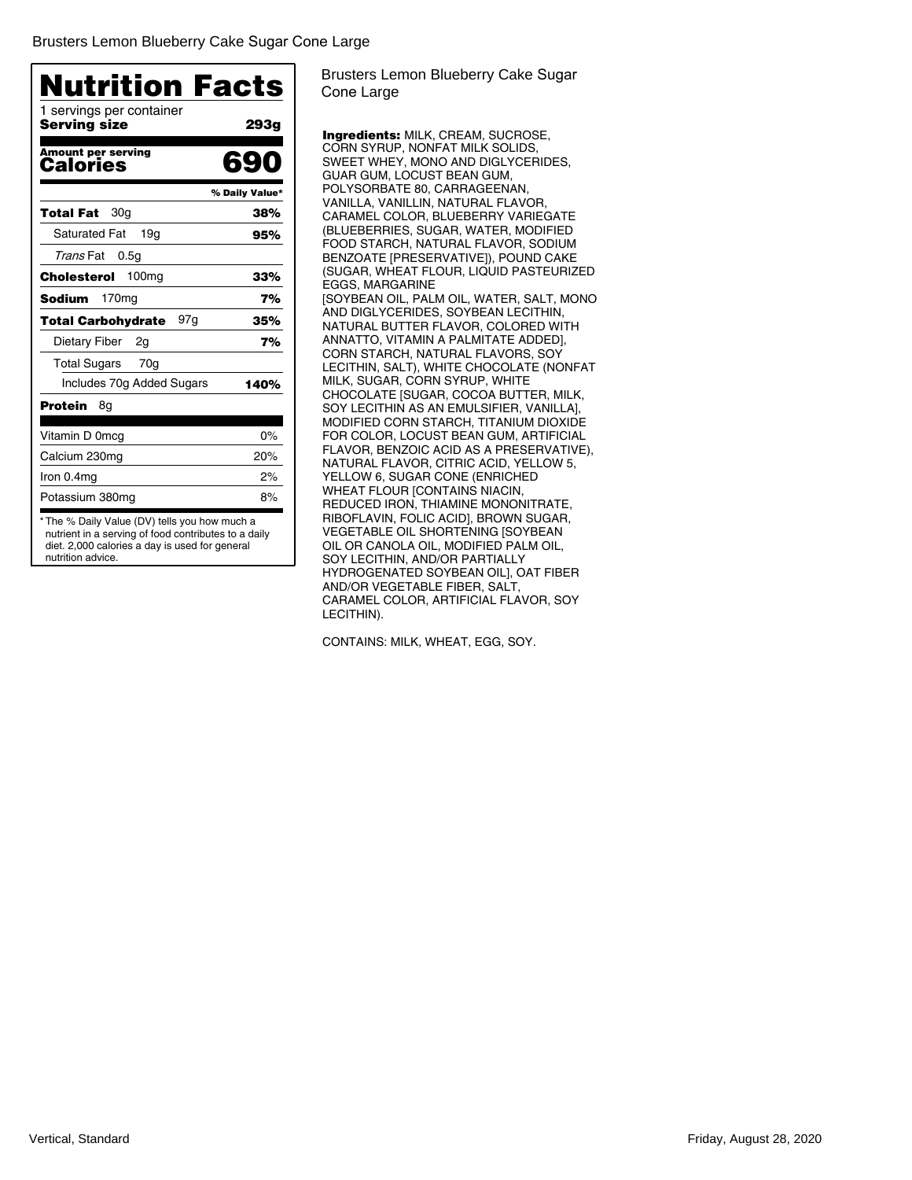| 1 servings per container                     |                |
|----------------------------------------------|----------------|
| Servina size                                 | 293g           |
| <b>Amount per serving</b><br><b>Calories</b> | 690            |
|                                              | % Daily Value* |
| 30 <sub>a</sub><br>Total Fat                 | 38%            |
| <b>Saturated Fat</b><br>19a                  | 95%            |
| Trans Fat<br>0.5 <sub>g</sub>                |                |
| 100 <sub>mg</sub><br>Cholesterol             | 33%            |
| 170 <sub>mg</sub><br>Sodium                  | 7%             |
| 97g<br>Total Carbohydrate                    | 35%            |
| Dietary Fiber<br>2g                          | 7%             |
| <b>Total Sugars</b><br>70g                   |                |
| Includes 70g Added Sugars                    | 140%           |
| Protein<br>8g                                |                |
| Vitamin D 0mcg                               | 0%             |
| Calcium 230mg                                | 20%            |
| Iron 0.4mg                                   | 2%             |
| Potassium 380mg                              | 8%             |

diet. 2,000 calories a day is used for general nutrition advice.

Brusters Lemon Blueberry Cake Sugar Cone Large

Ingredients: MILK, CREAM, SUCROSE, CORN SYRUP, NONFAT MILK SOLIDS, SWEET WHEY, MONO AND DIGLYCERIDES, GUAR GUM, LOCUST BEAN GUM, POLYSORBATE 80, CARRAGEENAN, VANILLA, VANILLIN, NATURAL FLAVOR, CARAMEL COLOR, BLUEBERRY VARIEGATE (BLUEBERRIES, SUGAR, WATER, MODIFIED FOOD STARCH, NATURAL FLAVOR, SODIUM BENZOATE [PRESERVATIVE]), POUND CAKE (SUGAR, WHEAT FLOUR, LIQUID PASTEURIZED EGGS, MARGARINE [SOYBEAN OIL, PALM OIL, WATER, SALT, MONO AND DIGLYCERIDES, SOYBEAN LECITHIN, NATURAL BUTTER FLAVOR, COLORED WITH ANNATTO, VITAMIN A PALMITATE ADDED], CORN STARCH, NATURAL FLAVORS, SOY LECITHIN, SALT), WHITE CHOCOLATE (NONFAT MILK, SUGAR, CORN SYRUP, WHITE CHOCOLATE [SUGAR, COCOA BUTTER, MILK, SOY LECITHIN AS AN EMULSIFIER, VANILLA], MODIFIED CORN STARCH, TITANIUM DIOXIDE FOR COLOR, LOCUST BEAN GUM, ARTIFICIAL FLAVOR, BENZOIC ACID AS A PRESERVATIVE), NATURAL FLAVOR, CITRIC ACID, YELLOW 5, YELLOW 6, SUGAR CONE (ENRICHED WHEAT FLOUR [CONTAINS NIACIN, REDUCED IRON, THIAMINE MONONITRATE, RIBOFLAVIN, FOLIC ACID], BROWN SUGAR, VEGETABLE OIL SHORTENING [SOYBEAN OIL OR CANOLA OIL, MODIFIED PALM OIL, SOY LECITHIN, AND/OR PARTIALLY HYDROGENATED SOYBEAN OIL], OAT FIBER AND/OR VEGETABLE FIBER, SALT, CARAMEL COLOR, ARTIFICIAL FLAVOR, SOY LECITHIN).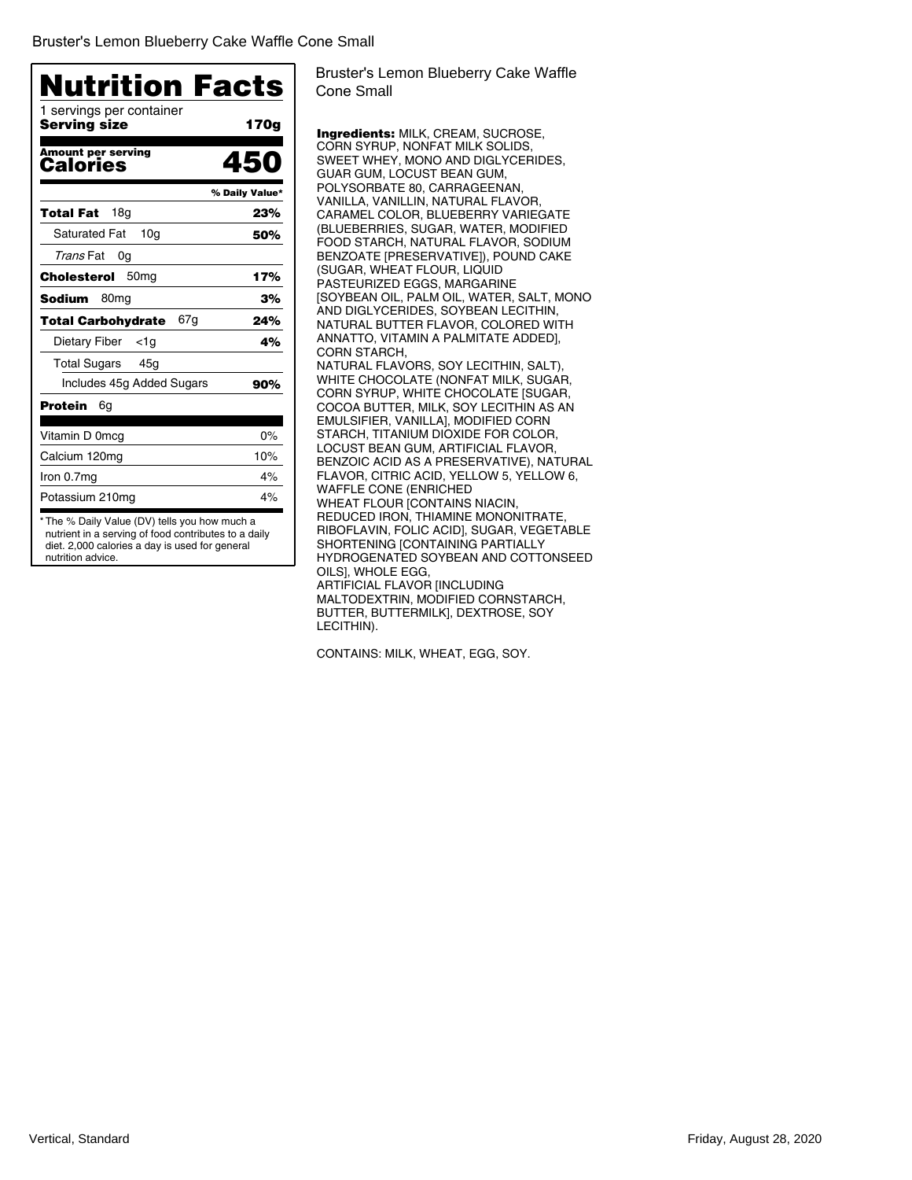| <b>Nutrition Facts</b>                   |                |
|------------------------------------------|----------------|
| 1 servings per container<br>Servina size | 170g           |
| <b>Amount per serving</b><br>Calories    | 450            |
|                                          | % Daily Value* |
| 18a<br>Total Fat                         | 23%            |
| <b>Saturated Fat</b><br>10 <sub>q</sub>  | 50%            |
| Trans Fat<br>0g                          |                |
| 50 <sub>mq</sub><br>Cholesterol          | 17%            |
| 80 <sub>mg</sub><br>Sodium               | 3%             |
| 67g<br><b>Total Carbohydrate</b>         | 24%            |
| Dietary Fiber<br>$<$ 1g                  | 4%             |
| Total Sugars<br>45g                      |                |
| Includes 45g Added Sugars                | 90%            |
| Protein<br>6g                            |                |
| Vitamin D 0mcg                           | $0\%$          |
| Calcium 120mg                            | 10%            |
| Iron 0.7mg                               | 4%             |
| Potassium 210mg                          | 4%             |

Bruster's Lemon Blueberry Cake Waffle Cone Small

Ingredients: MILK, CREAM, SUCROSE, CORN SYRUP, NONFAT MILK SOLIDS, SWEET WHEY, MONO AND DIGLYCERIDES, GUAR GUM, LOCUST BEAN GUM, POLYSORBATE 80, CARRAGEENAN, VANILLA, VANILLIN, NATURAL FLAVOR, CARAMEL COLOR, BLUEBERRY VARIEGATE (BLUEBERRIES, SUGAR, WATER, MODIFIED FOOD STARCH, NATURAL FLAVOR, SODIUM BENZOATE [PRESERVATIVE]), POUND CAKE (SUGAR, WHEAT FLOUR, LIQUID PASTEURIZED EGGS, MARGARINE [SOYBEAN OIL, PALM OIL, WATER, SALT, MONO AND DIGLYCERIDES, SOYBEAN LECITHIN, NATURAL BUTTER FLAVOR, COLORED WITH ANNATTO, VITAMIN A PALMITATE ADDED], CORN STARCH, NATURAL FLAVORS, SOY LECITHIN, SALT), WHITE CHOCOLATE (NONFAT MILK, SUGAR, CORN SYRUP, WHITE CHOCOLATE [SUGAR, COCOA BUTTER, MILK, SOY LECITHIN AS AN EMULSIFIER, VANILLA], MODIFIED CORN STARCH, TITANIUM DIOXIDE FOR COLOR, LOCUST BEAN GUM, ARTIFICIAL FLAVOR, BENZOIC ACID AS A PRESERVATIVE), NATURAL FLAVOR, CITRIC ACID, YELLOW 5, YELLOW 6, WAFFLE CONE (ENRICHED WHEAT FLOUR [CONTAINS NIACIN, REDUCED IRON, THIAMINE MONONITRATE, RIBOFLAVIN, FOLIC ACID], SUGAR, VEGETABLE SHORTENING [CONTAINING PARTIALLY HYDROGENATED SOYBEAN AND COTTONSEED OILS], WHOLE EGG, ARTIFICIAL FLAVOR [INCLUDING MALTODEXTRIN, MODIFIED CORNSTARCH, BUTTER, BUTTERMILK], DEXTROSE, SOY LECITHIN).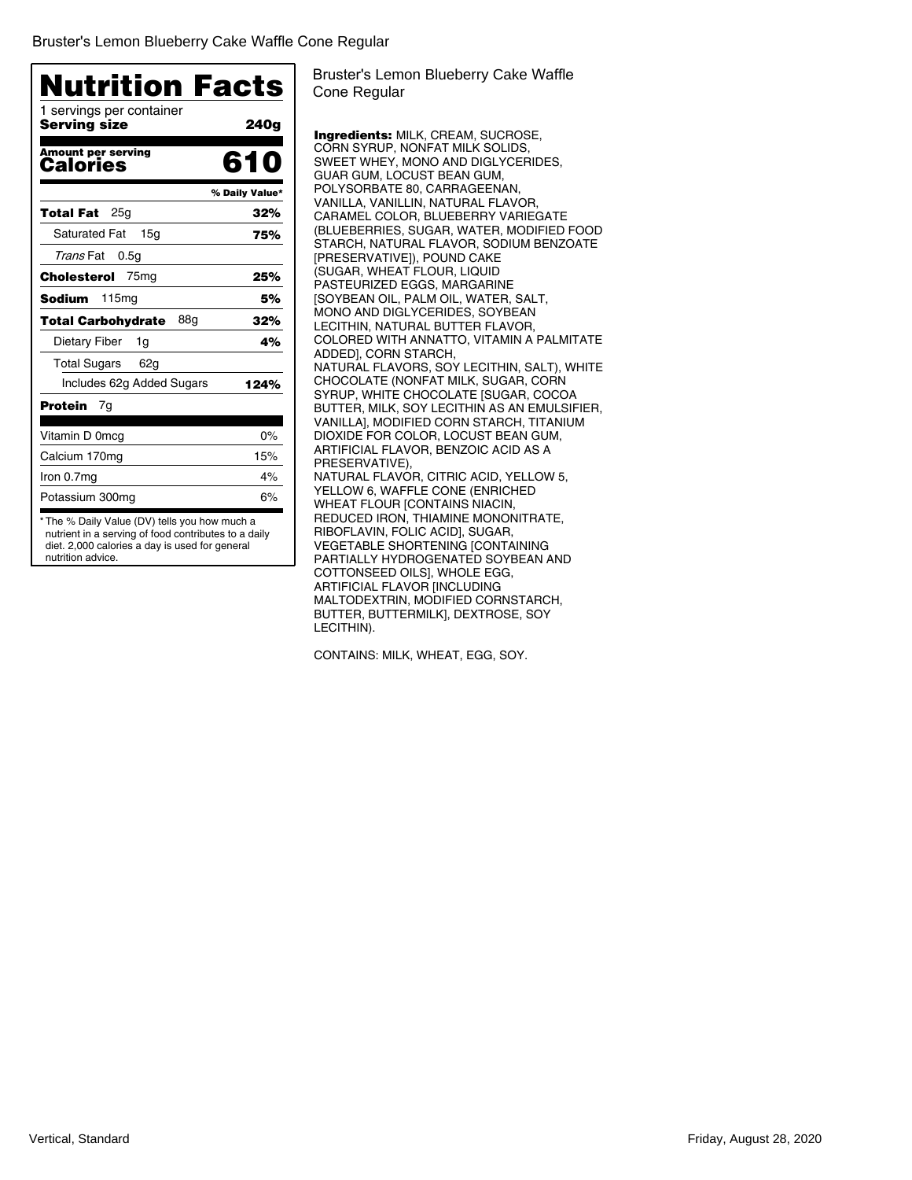| <b>Nutrition Facts</b><br>1 servings per container<br>Serving size | 240g           |
|--------------------------------------------------------------------|----------------|
|                                                                    |                |
| <b>Amount per serving</b><br>Calories                              | 610            |
|                                                                    | % Daily Value* |
| 25g<br>Total Fat                                                   | 32%            |
| <b>Saturated Fat</b><br>15q                                        | 75%            |
| <i>Trans</i> Fat<br>0.5g                                           |                |
| Cholesterol<br>75 <sub>mg</sub>                                    | 25%            |
| 115mg<br>Sodium                                                    | 5%             |
| 88a<br>Total Carbohydrate                                          | 32%            |
| Dietary Fiber<br>1g                                                | 4%             |
| Total Sugars<br>62g                                                |                |
| Includes 62g Added Sugars                                          | 124%           |
| Protein<br>7g                                                      |                |
| Vitamin D 0mcg                                                     | $0\%$          |
| Calcium 170mg                                                      | 15%            |
| Iron 0.7mg                                                         | 4%             |
| Potassium 300mg                                                    | 6%             |

Bruster's Lemon Blueberry Cake Waffle Cone Regular

Ingredients: MILK, CREAM, SUCROSE, CORN SYRUP, NONFAT MILK SOLIDS, SWEET WHEY, MONO AND DIGLYCERIDES, GUAR GUM, LOCUST BEAN GUM, POLYSORBATE 80, CARRAGEENAN, VANILLA, VANILLIN, NATURAL FLAVOR, CARAMEL COLOR, BLUEBERRY VARIEGATE (BLUEBERRIES, SUGAR, WATER, MODIFIED FOOD STARCH, NATURAL FLAVOR, SODIUM BENZOATE [PRESERVATIVE]), POUND CAKE (SUGAR, WHEAT FLOUR, LIQUID PASTEURIZED EGGS, MARGARINE [SOYBEAN OIL, PALM OIL, WATER, SALT, MONO AND DIGLYCERIDES, SOYBEAN LECITHIN, NATURAL BUTTER FLAVOR, COLORED WITH ANNATTO, VITAMIN A PALMITATE ADDED], CORN STARCH, NATURAL FLAVORS, SOY LECITHIN, SALT), WHITE CHOCOLATE (NONFAT MILK, SUGAR, CORN SYRUP, WHITE CHOCOLATE [SUGAR, COCOA BUTTER, MILK, SOY LECITHIN AS AN EMULSIFIER, VANILLA], MODIFIED CORN STARCH, TITANIUM DIOXIDE FOR COLOR, LOCUST BEAN GUM, ARTIFICIAL FLAVOR, BENZOIC ACID AS A PRESERVATIVE), NATURAL FLAVOR, CITRIC ACID, YELLOW 5, YELLOW 6, WAFFLE CONE (ENRICHED WHEAT FLOUR [CONTAINS NIACIN, REDUCED IRON, THIAMINE MONONITRATE, RIBOFLAVIN, FOLIC ACID], SUGAR, VEGETABLE SHORTENING [CONTAINING PARTIALLY HYDROGENATED SOYBEAN AND COTTONSEED OILS], WHOLE EGG, ARTIFICIAL FLAVOR [INCLUDING MALTODEXTRIN, MODIFIED CORNSTARCH, BUTTER, BUTTERMILK], DEXTROSE, SOY LECITHIN).